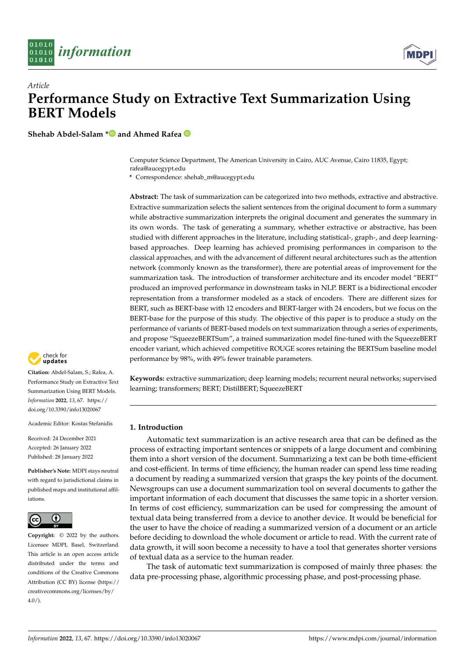



# *Article* **Performance Study on Extractive Text Summarization Using BERT Models**

**Shehab Abdel-Salam [\\*](https://orcid.org/0000-0002-1256-7245) and Ahmed Rafea**

Computer Science Department, The American University in Cairo, AUC Avenue, Cairo 11835, Egypt; rafea@aucegypt.edu

**\*** Correspondence: shehab\_m@aucegypt.edu

**Abstract:** The task of summarization can be categorized into two methods, extractive and abstractive. Extractive summarization selects the salient sentences from the original document to form a summary while abstractive summarization interprets the original document and generates the summary in its own words. The task of generating a summary, whether extractive or abstractive, has been studied with different approaches in the literature, including statistical-, graph-, and deep learningbased approaches. Deep learning has achieved promising performances in comparison to the classical approaches, and with the advancement of different neural architectures such as the attention network (commonly known as the transformer), there are potential areas of improvement for the summarization task. The introduction of transformer architecture and its encoder model "BERT" produced an improved performance in downstream tasks in NLP. BERT is a bidirectional encoder representation from a transformer modeled as a stack of encoders. There are different sizes for BERT, such as BERT-base with 12 encoders and BERT-larger with 24 encoders, but we focus on the BERT-base for the purpose of this study. The objective of this paper is to produce a study on the performance of variants of BERT-based models on text summarization through a series of experiments, and propose "SqueezeBERTSum", a trained summarization model fine-tuned with the SqueezeBERT encoder variant, which achieved competitive ROUGE scores retaining the BERTSum baseline model performance by 98%, with 49% fewer trainable parameters.

**Keywords:** extractive summarization; deep learning models; recurrent neural networks; supervised learning; transformers; BERT; DistilBERT; SqueezeBERT

# **1. Introduction**

Automatic text summarization is an active research area that can be defined as the process of extracting important sentences or snippets of a large document and combining them into a short version of the document. Summarizing a text can be both time-efficient and cost-efficient. In terms of time efficiency, the human reader can spend less time reading a document by reading a summarized version that grasps the key points of the document. Newsgroups can use a document summarization tool on several documents to gather the important information of each document that discusses the same topic in a shorter version. In terms of cost efficiency, summarization can be used for compressing the amount of textual data being transferred from a device to another device. It would be beneficial for the user to have the choice of reading a summarized version of a document or an article before deciding to download the whole document or article to read. With the current rate of data growth, it will soon become a necessity to have a tool that generates shorter versions of textual data as a service to the human reader.

The task of automatic text summarization is composed of mainly three phases: the data pre-processing phase, algorithmic processing phase, and post-processing phase.



**Citation:** Abdel-Salam, S.; Rafea, A. Performance Study on Extractive Text Summarization Using BERT Models. *Information* **2022**, *13*, 67. [https://](https://doi.org/10.3390/info13020067) [doi.org/10.3390/info13020067](https://doi.org/10.3390/info13020067)

Academic Editor: Kostas Stefanidis

Received: 24 December 2021 Accepted: 26 January 2022 Published: 28 January 2022

**Publisher's Note:** MDPI stays neutral with regard to jurisdictional claims in published maps and institutional affiliations.



**Copyright:** © 2022 by the authors. Licensee MDPI, Basel, Switzerland. This article is an open access article distributed under the terms and conditions of the Creative Commons Attribution (CC BY) license [\(https://](https://creativecommons.org/licenses/by/4.0/) [creativecommons.org/licenses/by/](https://creativecommons.org/licenses/by/4.0/)  $4.0/$ ).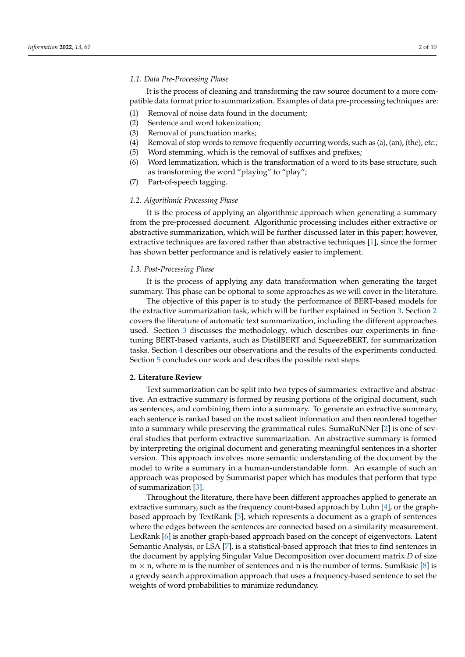## *1.1. Data Pre-Processing Phase*

It is the process of cleaning and transforming the raw source document to a more compatible data format prior to summarization. Examples of data pre-processing techniques are:

- (1) Removal of noise data found in the document;
- (2) Sentence and word tokenization;
- (3) Removal of punctuation marks;
- (4) Removal of stop words to remove frequently occurring words, such as (a), (an), (the), etc.;
- (5) Word stemming, which is the removal of suffixes and prefixes;
- (6) Word lemmatization, which is the transformation of a word to its base structure, such as transforming the word "playing" to "play";
- (7) Part-of-speech tagging.

#### *1.2. Algorithmic Processing Phase*

It is the process of applying an algorithmic approach when generating a summary from the pre-processed document. Algorithmic processing includes either extractive or abstractive summarization, which will be further discussed later in this paper; however, extractive techniques are favored rather than abstractive techniques [\[1\]](#page-8-0), since the former has shown better performance and is relatively easier to implement.

# *1.3. Post-Processing Phase*

It is the process of applying any data transformation when generating the target summary. This phase can be optional to some approaches as we will cover in the literature.

The objective of this paper is to study the performance of BERT-based models for the extractive summarization task, which will be further explained in Section [3.](#page-4-0) Section [2](#page-1-0) covers the literature of automatic text summarization, including the different approaches used. Section [3](#page-4-0) discusses the methodology, which describes our experiments in finetuning BERT-based variants, such as DistilBERT and SqueezeBERT, for summarization tasks. Section [4](#page-4-1) describes our observations and the results of the experiments conducted. Section [5](#page-6-0) concludes our work and describes the possible next steps.

#### <span id="page-1-0"></span>**2. Literature Review**

Text summarization can be split into two types of summaries: extractive and abstractive. An extractive summary is formed by reusing portions of the original document, such as sentences, and combining them into a summary. To generate an extractive summary, each sentence is ranked based on the most salient information and then reordered together into a summary while preserving the grammatical rules. SumaRuNNer [\[2\]](#page-8-1) is one of several studies that perform extractive summarization. An abstractive summary is formed by interpreting the original document and generating meaningful sentences in a shorter version. This approach involves more semantic understanding of the document by the model to write a summary in a human-understandable form. An example of such an approach was proposed by Summarist paper which has modules that perform that type of summarization [\[3\]](#page-8-2).

Throughout the literature, there have been different approaches applied to generate an extractive summary, such as the frequency count-based approach by Luhn [\[4\]](#page-8-3), or the graphbased approach by TextRank [\[5\]](#page-8-4), which represents a document as a graph of sentences where the edges between the sentences are connected based on a similarity measurement. LexRank [\[6\]](#page-8-5) is another graph-based approach based on the concept of eigenvectors. Latent Semantic Analysis, or LSA [\[7\]](#page-8-6), is a statistical-based approach that tries to find sentences in the document by applying Singular Value Decomposition over document matrix *D* of size  $m \times n$ , where m is the number of sentences and n is the number of terms. SumBasic [\[8\]](#page-8-7) is a greedy search approximation approach that uses a frequency-based sentence to set the weights of word probabilities to minimize redundancy.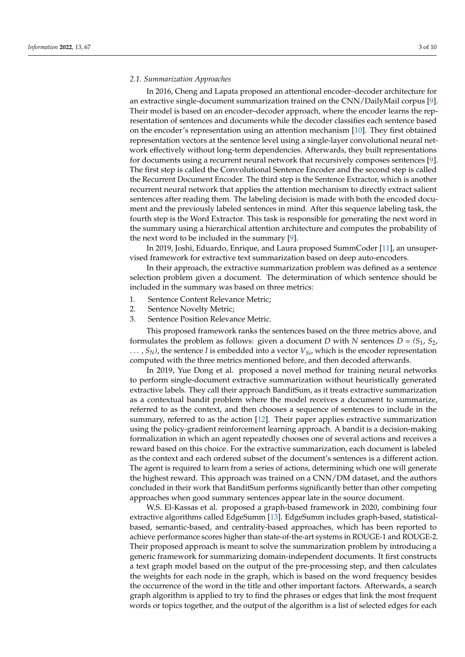# *2.1. Summarization Approaches*

In 2016, Cheng and Lapata proposed an attentional encoder–decoder architecture for an extractive single-document summarization trained on the CNN/DailyMail corpus [\[9\]](#page-8-8). Their model is based on an encoder–decoder approach, where the encoder learns the representation of sentences and documents while the decoder classifies each sentence based on the encoder's representation using an attention mechanism [\[10\]](#page-8-9). They first obtained representation vectors at the sentence level using a single-layer convolutional neural network effectively without long-term dependencies. Afterwards, they built representations for documents using a recurrent neural network that recursively composes sentences [\[9\]](#page-8-8). The first step is called the Convolutional Sentence Encoder and the second step is called the Recurrent Document Encoder. The third step is the Sentence Extractor, which is another recurrent neural network that applies the attention mechanism to directly extract salient sentences after reading them. The labeling decision is made with both the encoded document and the previously labeled sentences in mind. After this sequence labeling task, the fourth step is the Word Extractor. This task is responsible for generating the next word in the summary using a hierarchical attention architecture and computes the probability of the next word to be included in the summary [\[9\]](#page-8-8).

In 2019, Joshi, Eduardo, Enrique, and Laura proposed SummCoder [\[11\]](#page-8-10), an unsupervised framework for extractive text summarization based on deep auto-encoders.

In their approach, the extractive summarization problem was defined as a sentence selection problem given a document. The determination of which sentence should be included in the summary was based on three metrics:

- 1. Sentence Content Relevance Metric;
- 2. Sentence Novelty Metric;
- 3. Sentence Position Relevance Metric.

This proposed framework ranks the sentences based on the three metrics above, and formulates the problem as follows: given a document *D* with *N* sentences  $D = (S_1, S_2, S_3)$ . . . , *SN)*, the sentence *I* is embedded into a vector *VSi*, which is the encoder representation computed with the three metrics mentioned before, and then decoded afterwards.

In 2019, Yue Dong et al. proposed a novel method for training neural networks to perform single-document extractive summarization without heuristically generated extractive labels. They call their approach BanditSum, as it treats extractive summarization as a contextual bandit problem where the model receives a document to summarize, referred to as the context, and then chooses a sequence of sentences to include in the summary, referred to as the action [\[12\]](#page-8-11). Their paper applies extractive summarization using the policy-gradient reinforcement learning approach. A bandit is a decision-making formalization in which an agent repeatedly chooses one of several actions and receives a reward based on this choice. For the extractive summarization, each document is labeled as the context and each ordered subset of the document's sentences is a different action. The agent is required to learn from a series of actions, determining which one will generate the highest reward. This approach was trained on a CNN/DM dataset, and the authors concluded in their work that BanditSum performs significantly better than other competing approaches when good summary sentences appear late in the source document.

W.S. El-Kassas et al. proposed a graph-based framework in 2020, combining four extractive algorithms called EdgeSumm [\[13\]](#page-8-12). EdgeSumm includes graph-based, statisticalbased, semantic-based, and centrality-based approaches, which has been reported to achieve performance scores higher than state-of-the-art systems in ROUGE-1 and ROUGE-2. Their proposed approach is meant to solve the summarization problem by introducing a generic framework for summarizing domain-independent documents. It first constructs a text graph model based on the output of the pre-processing step, and then calculates the weights for each node in the graph, which is based on the word frequency besides the occurrence of the word in the title and other important factors. Afterwards, a search graph algorithm is applied to try to find the phrases or edges that link the most frequent words or topics together, and the output of the algorithm is a list of selected edges for each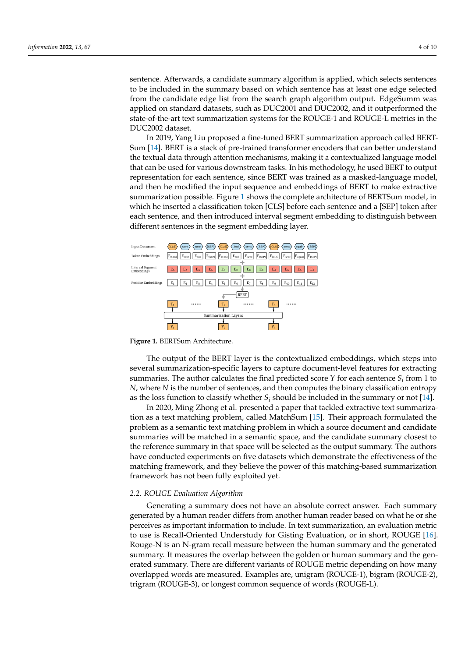sentence. Afterwards, a candidate summary algorithm is applied, which selects sentences to be included in the summary based on which sentence has at least one edge selected from the candidate edge list from the search graph algorithm output. EdgeSumm was applied on standard datasets, such as DUC2001 and DUC2002, and it outperformed the applied on statidard datasets, such as DOC2001 and DOC2002, and ROUGE-1 and Roughly state-of-the-art text summarization systems for the ROUGE-1 and ROUGE-L metrics in the DUC2002 dataset. In 2019, Yang Liu proposed a fine-tuned BERT summarization approach called Sentence. Afterwards, a candidate summary algorithm is applied, which selects sentence model, and the model then he model then he model the input sequence and embedding of BERT to make the input set

In 2019, Yang Liu proposed a fine-tuned BERT summarization approach called BERT-Sum [\[14\]](#page-8-13). BERT is a stack of pre-trained transformer encoders that can better understand the textual data through attention mechanisms, making it a contextualized language model that can be used for various downstream tasks. In his methodology, he used BERT to output representation for each sentence, since BERT was trained as a masked-language model, and then he modified the input sequence and embeddings of BERT to make extractive summarization possible. Figure [1](#page-3-0) shows the complete architecture of BERTSum model, in which he inserted a classification token [CLS] before each sentence and a [SEP] token after each sentence, and then introduced interval segment embedding to distinguish between different sentences in the segment embedding layer.

<span id="page-3-0"></span>

**Figure 1.** BERTSum Architecture.

several summarization-specific layers to capture document-level features for extracting summaries. The author calculates the final predicted score *Y* for each sentence  $S_i$  from 1 to *N*, where *N* is the number of sentences, and then computes the binary classification entropy as the loss function to classify whether  $S_i$  should be included in the summary or not [14]. as the loss function to classify whether  $S_i$  should be included in the summary or not [\[14\]](#page-8-13).<br>In 2020, Ming Zhong et al. presented a paper that tackled extractive text summariza-The output of the BERT layer is the contextualized embeddings, which steps into

tion as a text matching problem, called MatchSum [\[15\]](#page-8-14). Their approach formulated the problem as a semantic text matching problem in which a source document and candidate summaries will be matched in a semantic space, and the candidate summary closest to have conducted experiments on five datasets which demonstrate the effectiveness of the matching framework, and they believe the power of this matching-based summarization framework has not been fully exploited yet. the reference summary in that space will be selected as the output summary. The authors

# 2.2. ROUGE Evaluation Algorithm

Generating a summary does not have an absolute correct answer. Each summary generated by a human reader differs from another human reader based on what he or she perceives as important information to include. In text summarization, an evaluation metric to use is Recall-Oriented Understudy for Gisting Evaluation, or in short, ROUGE [\[16\]](#page-8-15). Rouge-N is an N-gram recall measure between the human summary and the generated summary. It measures the overlap between the golden or human summary and the generated summary. There are different variants of ROUGE metric depending on how many overlapped words are measured. Examples are, unigram (ROUGE-1), bigram (ROUGE-2), trigram (ROUGE-3), or longest common sequence of words (ROUGE-L).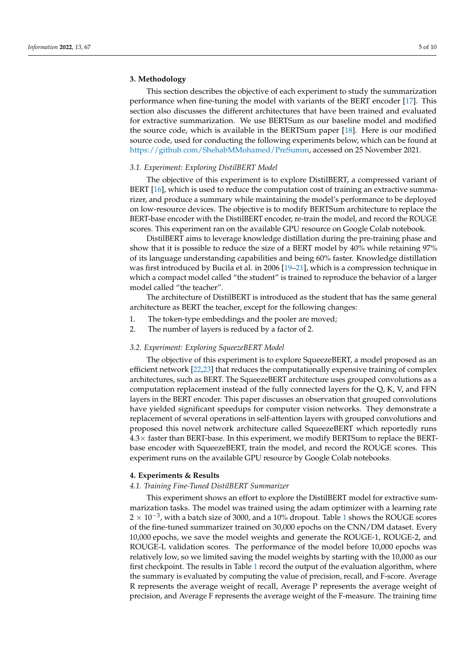# <span id="page-4-0"></span>**3. Methodology**

This section describes the objective of each experiment to study the summarization performance when fine-tuning the model with variants of the BERT encoder [\[17\]](#page-8-16). This section also discusses the different architectures that have been trained and evaluated for extractive summarization. We use BERTSum as our baseline model and modified the source code, which is available in the BERTSum paper [\[18\]](#page-8-17). Here is our modified source code, used for conducting the following experiments below, which can be found at [https://github.com/ShehabMMohamed/PreSumm,](https://github.com/ShehabMMohamed/PreSumm) accessed on 25 November 2021.

# *3.1. Experiment: Exploring DistilBERT Model*

The objective of this experiment is to explore DistilBERT, a compressed variant of BERT [\[16\]](#page-8-15), which is used to reduce the computation cost of training an extractive summarizer, and produce a summary while maintaining the model's performance to be deployed on low-resource devices. The objective is to modify BERTSum architecture to replace the BERT-base encoder with the DistilBERT encoder, re-train the model, and record the ROUGE scores. This experiment ran on the available GPU resource on Google Colab notebook.

DistilBERT aims to leverage knowledge distillation during the pre-training phase and show that it is possible to reduce the size of a BERT model by 40% while retaining 97% of its language understanding capabilities and being 60% faster. Knowledge distillation was first introduced by Bucila et al. in 2006 [\[19–](#page-9-0)[21\]](#page-9-1), which is a compression technique in which a compact model called "the student" is trained to reproduce the behavior of a larger model called "the teacher".

The architecture of DistilBERT is introduced as the student that has the same general architecture as BERT the teacher, except for the following changes:

- 1. The token-type embeddings and the pooler are moved;
- 2. The number of layers is reduced by a factor of 2.

# *3.2. Experiment: Exploring SqueezeBERT Model*

The objective of this experiment is to explore SqueezeBERT, a model proposed as an efficient network [\[22,](#page-9-2)[23\]](#page-9-3) that reduces the computationally expensive training of complex architectures, such as BERT. The SqueezeBERT architecture uses grouped convolutions as a computation replacement instead of the fully connected layers for the Q, K, V, and FFN layers in the BERT encoder. This paper discusses an observation that grouped convolutions have yielded significant speedups for computer vision networks. They demonstrate a replacement of several operations in self-attention layers with grouped convolutions and proposed this novel network architecture called SqueezeBERT which reportedly runs  $4.3\times$  faster than BERT-base. In this experiment, we modify BERTSum to replace the BERTbase encoder with SqueezeBERT, train the model, and record the ROUGE scores. This experiment runs on the available GPU resource by Google Colab notebooks.

# <span id="page-4-1"></span>**4. Experiments & Results**

# *4.1. Training Fine-Tuned DistilBERT Summarizer*

This experiment shows an effort to explore the DistilBERT model for extractive summarization tasks. The model was trained using the adam optimizer with a learning rate  $2 \times 10^{-3}$  $2 \times 10^{-3}$  $2 \times 10^{-3}$ , with a batch size of 3000, and a 10% dropout. Table 1 shows the ROUGE scores of the fine-tuned summarizer trained on 30,000 epochs on the CNN/DM dataset. Every 10,000 epochs, we save the model weights and generate the ROUGE-1, ROUGE-2, and ROUGE-L validation scores. The performance of the model before 10,000 epochs was relatively low, so we limited saving the model weights by starting with the 10,000 as our first checkpoint. The results in Table [1](#page-5-0) record the output of the evaluation algorithm, where the summary is evaluated by computing the value of precision, recall, and F-score. Average R represents the average weight of recall, Average P represents the average weight of precision, and Average F represents the average weight of the F-measure. The training time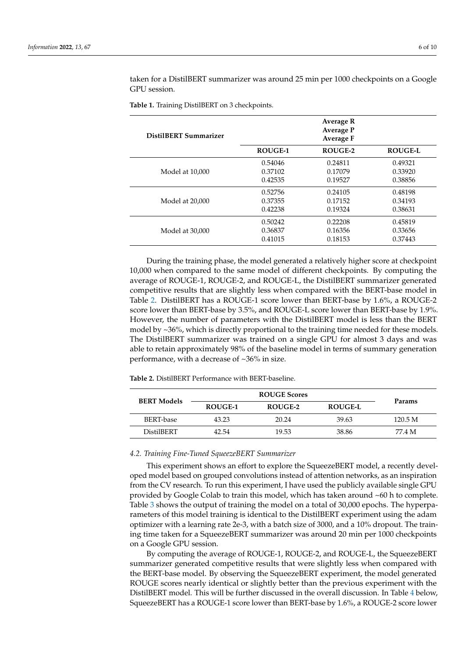taken for a DistilBERT summarizer was around 25 min per 1000 checkpoints on a Google GPU session.

| DistilBERT Summarizer |                | Average R<br><b>Average P</b><br>Average F |                |
|-----------------------|----------------|--------------------------------------------|----------------|
|                       | <b>ROUGE-1</b> | ROUGE-2                                    | <b>ROUGE-L</b> |
| Model at 10,000       | 0.54046        | 0.24811                                    | 0.49321        |
|                       | 0.37102        | 0.17079                                    | 0.33920        |
|                       | 0.42535        | 0.19527                                    | 0.38856        |
| Model at 20,000       | 0.52756        | 0.24105                                    | 0.48198        |
|                       | 0.37355        | 0.17152                                    | 0.34193        |
|                       | 0.42238        | 0.19324                                    | 0.38631        |
| Model at 30,000       | 0.50242        | 0.22208                                    | 0.45819        |
|                       | 0.36837        | 0.16356                                    | 0.33656        |
|                       | 0.41015        | 0.18153                                    | 0.37443        |

<span id="page-5-0"></span>**Table 1.** Training DistilBERT on 3 checkpoints.

During the training phase, the model generated a relatively higher score at checkpoint 10,000 when compared to the same model of different checkpoints. By computing the average of ROUGE-1, ROUGE-2, and ROUGE-L, the DistilBERT summarizer generated competitive results that are slightly less when compared with the BERT-base model in Table [2.](#page-5-1) DistilBERT has a ROUGE-1 score lower than BERT-base by 1.6%, a ROUGE-2 score lower than BERT-base by 3.5%, and ROUGE-L score lower than BERT-base by 1.9%. However, the number of parameters with the DistilBERT model is less than the BERT model by ~36%, which is directly proportional to the training time needed for these models. The DistilBERT summarizer was trained on a single GPU for almost 3 days and was able to retain approximately 98% of the baseline model in terms of summary generation performance, with a decrease of ~36% in size.

| <b>BERT Models</b> | <b>ROUGE Scores</b> |         |                |               |
|--------------------|---------------------|---------|----------------|---------------|
|                    | ROUGE-1             | ROUGE-2 | <b>ROUGE-L</b> | <b>Params</b> |
| BERT-base          | 43.23               | 20.24   | 39.63          | 120.5 M       |
| <b>DistilBERT</b>  | 42.54               | 19.53   | 38.86          | 77.4 M        |

<span id="page-5-1"></span>**Table 2.** DistilBERT Performance with BERT-baseline.

### *4.2. Training Fine-Tuned SqueezeBERT Summarizer*

This experiment shows an effort to explore the SqueezeBERT model, a recently developed model based on grouped convolutions instead of attention networks, as an inspiration from the CV research. To run this experiment, I have used the publicly available single GPU provided by Google Colab to train this model, which has taken around ~60 h to complete. Table [3](#page-6-1) shows the output of training the model on a total of 30,000 epochs. The hyperparameters of this model training is identical to the DistilBERT experiment using the adam optimizer with a learning rate 2e-3, with a batch size of 3000, and a 10% dropout. The training time taken for a SqueezeBERT summarizer was around 20 min per 1000 checkpoints on a Google GPU session.

By computing the average of ROUGE-1, ROUGE-2, and ROUGE-L, the SqueezeBERT summarizer generated competitive results that were slightly less when compared with the BERT-base model. By observing the SqueezeBERT experiment, the model generated ROUGE scores nearly identical or slightly better than the previous experiment with the DistilBERT model. This will be further discussed in the overall discussion. In Table [4](#page-6-2) below, SqueezeBERT has a ROUGE-1 score lower than BERT-base by 1.6%, a ROUGE-2 score lower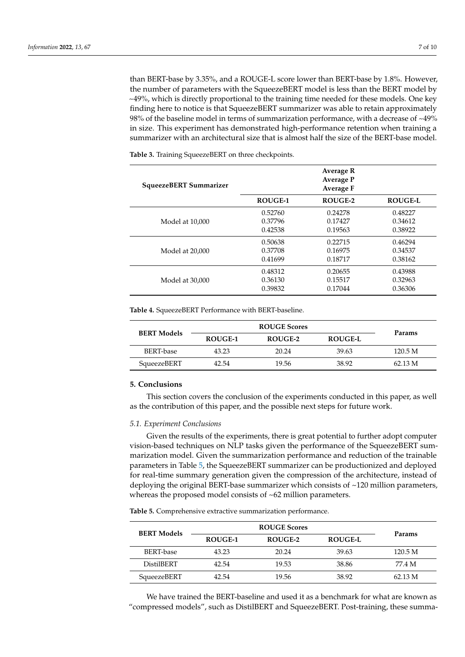than BERT-base by 3.35%, and a ROUGE-L score lower than BERT-base by 1.8%. However, the number of parameters with the SqueezeBERT model is less than the BERT model by  $\sim$ 49%, which is directly proportional to the training time needed for these models. One key finding here to notice is that SqueezeBERT summarizer was able to retain approximately 98% of the baseline model in terms of summarization performance, with a decrease of ~49% in size. This experiment has demonstrated high-performance retention when training a summarizer with an architectural size that is almost half the size of the BERT-base model.

**SqueezeBERT Summarizer Average R Average P Average F ROUGE-1 ROUGE-2 ROUGE-L** Model at 10,000 0.52760 0.24278 0.48227 0.37796 0.17427 0.34612 0.42538 0.19563 0.38922 Model at 20,000 0.50638 0.22715 0.46294 0.37708 0.16975 0.34537 0.41699 0.18717 0.38162 Model at 30,000 0.48312 0.20655 0.43988 0.36130 0.15517 0.32963 0.39832 0.17044 0.36306

<span id="page-6-1"></span>**Table 3.** Training SqueezeBERT on three checkpoints.

<span id="page-6-2"></span>**Table 4.** SqueezeBERT Performance with BERT-baseline.

| <b>BERT Models</b> | <b>ROUGE Scores</b> |         |                |         |
|--------------------|---------------------|---------|----------------|---------|
|                    | ROUGE-1             | ROUGE-2 | <b>ROUGE-L</b> | Params  |
| BERT-base          | 43.23               | 20.24   | 39.63          | 120.5 M |
| SqueezeBERT        | 42.54               | 19.56   | 38.92          | 62.13 M |

# <span id="page-6-0"></span>**5. Conclusions**

This section covers the conclusion of the experiments conducted in this paper, as well as the contribution of this paper, and the possible next steps for future work.

# *5.1. Experiment Conclusions*

Given the results of the experiments, there is great potential to further adopt computer vision-based techniques on NLP tasks given the performance of the SqueezeBERT summarization model. Given the summarization performance and reduction of the trainable parameters in Table [5,](#page-6-3) the SqueezeBERT summarizer can be productionized and deployed for real-time summary generation given the compression of the architecture, instead of deploying the original BERT-base summarizer which consists of ~120 million parameters, whereas the proposed model consists of ~62 million parameters.

<span id="page-6-3"></span>**Table 5.** Comprehensive extractive summarization performance.

| <b>BERT Models</b> | <b>ROUGE Scores</b> |         |                |               |
|--------------------|---------------------|---------|----------------|---------------|
|                    | ROUGE-1             | ROUGE-2 | <b>ROUGE-L</b> | <b>Params</b> |
| BERT-base          | 43.23               | 20.24   | 39.63          | 120.5 M       |
| <b>DistilBERT</b>  | 42.54               | 19.53   | 38.86          | 77.4 M        |
| SqueezeBERT        | 42.54               | 19.56   | 38.92          | 62.13 M       |

We have trained the BERT-baseline and used it as a benchmark for what are known as "compressed models", such as DistilBERT and SqueezeBERT. Post-training, these summa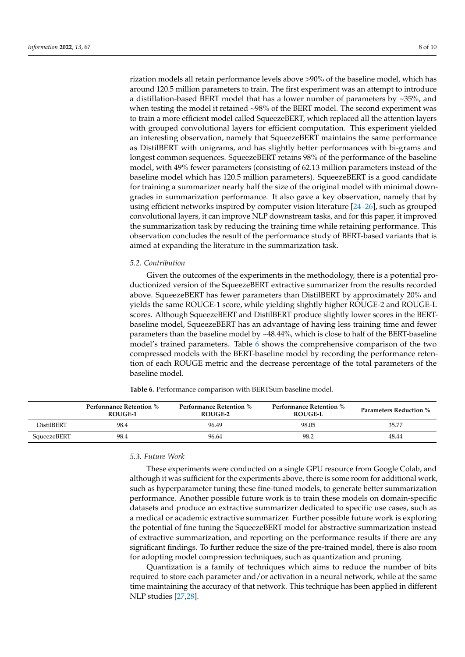rization models all retain performance levels above >90% of the baseline model, which has around 120.5 million parameters to train. The first experiment was an attempt to introduce a distillation-based BERT model that has a lower number of parameters by  $\sim$ 35%, and when testing the model it retained ~98% of the BERT model. The second experiment was to train a more efficient model called SqueezeBERT, which replaced all the attention layers with grouped convolutional layers for efficient computation. This experiment yielded an interesting observation, namely that SqueezeBERT maintains the same performance as DistilBERT with unigrams, and has slightly better performances with bi-grams and longest common sequences. SqueezeBERT retains 98% of the performance of the baseline model, with 49% fewer parameters (consisting of 62.13 million parameters instead of the baseline model which has 120.5 million parameters). SqueezeBERT is a good candidate for training a summarizer nearly half the size of the original model with minimal downgrades in summarization performance. It also gave a key observation, namely that by using efficient networks inspired by computer vision literature [24-[26\]](#page-9-5), such as grouped convolutional layers, it can improve NLP downstream tasks, and for this paper, it improved the summarization task by reducing the training time while retaining performance. This observation concludes the result of the performance study of BERT-based variants that is aimed at expanding the literature in the summarization task.

# *5.2. Contribution*

Given the outcomes of the experiments in the methodology, there is a potential productionized version of the SqueezeBERT extractive summarizer from the results recorded above. SqueezeBERT has fewer parameters than DistilBERT by approximately 20% and yields the same ROUGE-1 score, while yielding slightly higher ROUGE-2 and ROUGE-L scores. Although SqueezeBERT and DistilBERT produce slightly lower scores in the BERTbaseline model, SqueezeBERT has an advantage of having less training time and fewer parameters than the baseline model by ~48.44%, which is close to half of the BERT-baseline model's trained parameters. Table [6](#page-7-0) shows the comprehensive comparison of the two compressed models with the BERT-baseline model by recording the performance retention of each ROUGE metric and the decrease percentage of the total parameters of the baseline model.

<span id="page-7-0"></span>**Table 6.** Performance comparison with BERTSum baseline model.

|             | <b>Performance Retention %</b><br>ROUGE-1 | <b>Performance Retention %</b><br><b>ROUGE-2</b> | <b>Performance Retention %</b><br><b>ROUGE-L</b> | <b>Parameters Reduction %</b> |
|-------------|-------------------------------------------|--------------------------------------------------|--------------------------------------------------|-------------------------------|
| DistilBERT  | 98.4                                      | 96.49                                            | 98.05                                            | 35.77                         |
| SqueezeBERT | 98.4                                      | 96.64                                            | 98.2                                             | 48.44                         |

# *5.3. Future Work*

These experiments were conducted on a single GPU resource from Google Colab, and although it was sufficient for the experiments above, there is some room for additional work, such as hyperparameter tuning these fine-tuned models, to generate better summarization performance. Another possible future work is to train these models on domain-specific datasets and produce an extractive summarizer dedicated to specific use cases, such as a medical or academic extractive summarizer. Further possible future work is exploring the potential of fine tuning the SqueezeBERT model for abstractive summarization instead of extractive summarization, and reporting on the performance results if there are any significant findings. To further reduce the size of the pre-trained model, there is also room for adopting model compression techniques, such as quantization and pruning.

Quantization is a family of techniques which aims to reduce the number of bits required to store each parameter and/or activation in a neural network, while at the same time maintaining the accuracy of that network. This technique has been applied in different NLP studies [\[27](#page-9-6)[,28\]](#page-9-7).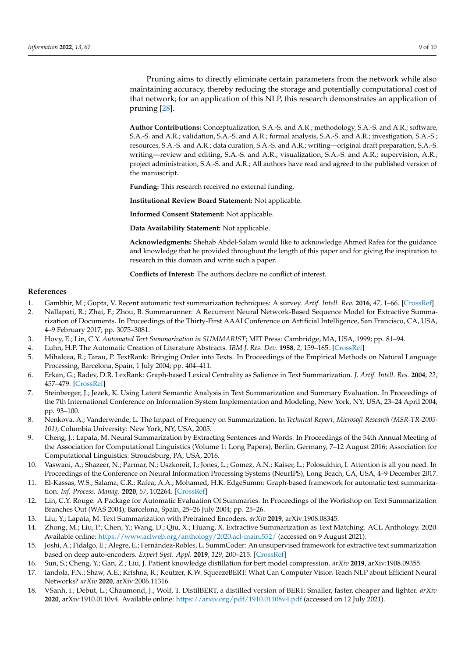Pruning aims to directly eliminate certain parameters from the network while also maintaining accuracy, thereby reducing the storage and potentially computational cost of that network; for an application of this NLP, this research demonstrates an application of pruning [\[28\]](#page-9-7).

**Author Contributions:** Conceptualization, S.A.-S. and A.R.; methodology, S.A.-S. and A.R.; software, S.A.-S. and A.R.; validation, S.A.-S. and A.R.; formal analysis, S.A.-S. and A.R.; investigation, S.A.-S.; resources, S.A.-S. and A.R.; data curation, S.A.-S. and A.R.; writing—original draft preparation, S.A.-S. writing—review and editing, S.A.-S. and A.R.; visualization, S.A.-S. and A.R.; supervision, A.R.; project administration, S.A.-S. and A.R.; All authors have read and agreed to the published version of the manuscript.

**Funding:** This research received no external funding.

**Institutional Review Board Statement:** Not applicable.

**Informed Consent Statement:** Not applicable.

**Data Availability Statement:** Not applicable.

**Acknowledgments:** Shehab Abdel-Salam would like to acknowledge Ahmed Rafea for the guidance and knowledge that he provided throughout the length of this paper and for giving the inspiration to research in this domain and write such a paper.

**Conflicts of Interest:** The authors declare no conflict of interest.

# **References**

- <span id="page-8-0"></span>1. Gambhir, M.; Gupta, V. Recent automatic text summarization techniques: A survey. *Artif. Intell. Rev.* **2016**, *47*, 1–66. [\[CrossRef\]](http://doi.org/10.1007/s10462-016-9475-9)
- <span id="page-8-1"></span>2. Nallapati, R.; Zhai, F.; Zhou, B. Summarunner: A Recurrent Neural Network-Based Sequence Model for Extractive Summarization of Documents. In Proceedings of the Thirty-First AAAI Conference on Artificial Intelligence, San Francisco, CA, USA, 4–9 February 2017; pp. 3075–3081.
- <span id="page-8-2"></span>3. Hovy, E.; Lin, C.Y. *Automated Text Summarization in SUMMARIST*; MIT Press: Cambridge, MA, USA, 1999; pp. 81–94.
- <span id="page-8-3"></span>4. Luhn, H.P. The Automatic Creation of Literature Abstracts. *IBM J. Res. Dev.* **1958**, *2*, 159–165. [\[CrossRef\]](http://doi.org/10.1147/rd.22.0159)
- <span id="page-8-4"></span>5. Mihalcea, R.; Tarau, P. TextRank: Bringing Order into Texts. In Proceedings of the Empirical Methods on Natural Language Processing, Barcelona, Spain, 1 July 2004; pp. 404–411.
- <span id="page-8-5"></span>6. Erkan, G.; Radev, D.R. LexRank: Graph-based Lexical Centrality as Salience in Text Summarization. *J. Artif. Intell. Res.* **2004**, *22*, 457–479. [\[CrossRef\]](http://doi.org/10.1613/jair.1523)
- <span id="page-8-6"></span>7. Steinberger, J.; Jezek, K. Using Latent Semantic Analysis in Text Summarization and Summary Evaluation. In Proceedings of the 7th International Conference on Information System Implementation and Modeling, New York, NY, USA, 23–24 April 2004; pp. 93–100.
- <span id="page-8-7"></span>8. Nenkova, A.; Vanderwende, L. The Impact of Frequency on Summarization. In *Technical Report, Microsoft Research (MSR-TR-2005- 101)*; Columbia University: New York, NY, USA, 2005.
- <span id="page-8-8"></span>9. Cheng, J.; Lapata, M. Neural Summarization by Extracting Sentences and Words. In Proceedings of the 54th Annual Meeting of the Association for Computational Linguistics (Volume 1: Long Papers), Berlin, Germany, 7–12 August 2016; Association for Computational Linguistics: Stroudsburg, PA, USA, 2016.
- <span id="page-8-9"></span>10. Vaswani, A.; Shazeer, N.; Parmar, N.; Uszkoreit, J.; Jones, L.; Gomez, A.N.; Kaiser, L.; Polosukhin, I. Attention is all you need. In Proceedings of the Conference on Neural Information Processing Systems (NeurIPS), Long Beach, CA, USA, 4–9 December 2017.
- <span id="page-8-10"></span>11. El-Kassas, W.S.; Salama, C.R.; Rafea, A.A.; Mohamed, H.K. EdgeSumm: Graph-based framework for automatic text summarization. *Inf. Process. Manag.* **2020**, *57*, 102264. [\[CrossRef\]](http://doi.org/10.1016/j.ipm.2020.102264)
- <span id="page-8-11"></span>12. Lin, C.Y. Rouge: A Package for Automatic Evaluation Of Summaries. In Proceedings of the Workshop on Text Summarization Branches Out (WAS 2004), Barcelona, Spain, 25–26 July 2004; pp. 25–26.
- <span id="page-8-12"></span>13. Liu, Y.; Lapata, M. Text Summarization with Pretrained Encoders. *arXiv* **2019**, arXiv:1908.08345.
- <span id="page-8-13"></span>14. Zhong, M.; Liu, P.; Chen, Y.; Wang, D.; Qiu, X.; Huang, X. Extractive Summarization as Text Matching. ACL Anthology. 2020. Available online: <https://www.aclweb.org/anthology/2020.acl-main.552/> (accessed on 9 August 2021).
- <span id="page-8-14"></span>15. Joshi, A.; Fidalgo, E.; Alegre, E.; Fernández-Robles, L. SummCoder: An unsupervised framework for extractive text summarization based on deep auto-encoders. *Expert Syst. Appl.* **2019**, *129*, 200–215. [\[CrossRef\]](http://doi.org/10.1016/j.eswa.2019.03.045)
- <span id="page-8-15"></span>16. Sun, S.; Cheng, Y.; Gan, Z.; Liu, J. Patient knowledge distillation for bert model compression. *arXiv* **2019**, arXiv:1908.09355.
- <span id="page-8-16"></span>17. Iandola, F.N.; Shaw, A.E.; Krishna, R.; Keutzer, K.W. SqueezeBERT: What Can Computer Vision Teach NLP about Efficient Neural Networks? *arXiv* **2020**, arXiv:2006.11316.
- <span id="page-8-17"></span>18. VSanh, i.; Debut, L.; Chaumond, J.; Wolf, T. DistilBERT, a distilled version of BERT: Smaller, faster, cheaper and lighter. *arXiv* **2020**, arXiv:1910.0110v4. Available online: <https://arxiv.org/pdf/1910.01108v4.pdf> (accessed on 12 July 2021).